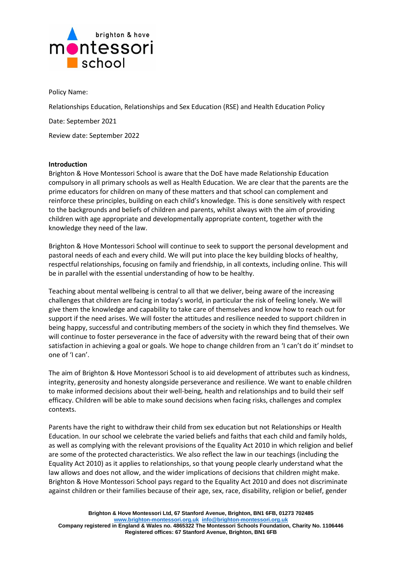

Policy Name:

Relationships Education, Relationships and Sex Education (RSE) and Health Education Policy

Date: September 2021

Review date: September 2022

#### **Introduction**

Brighton & Hove Montessori School is aware that the DoE have made Relationship Education compulsory in all primary schools as well as Health Education. We are clear that the parents are the prime educators for children on many of these matters and that school can complement and reinforce these principles, building on each child's knowledge. This is done sensitively with respect to the backgrounds and beliefs of children and parents, whilst always with the aim of providing children with age appropriate and developmentally appropriate content, together with the knowledge they need of the law.

Brighton & Hove Montessori School will continue to seek to support the personal development and pastoral needs of each and every child. We will put into place the key building blocks of healthy, respectful relationships, focusing on family and friendship, in all contexts, including online. This will be in parallel with the essential understanding of how to be healthy.

Teaching about mental wellbeing is central to all that we deliver, being aware of the increasing challenges that children are facing in today's world, in particular the risk of feeling lonely. We will give them the knowledge and capability to take care of themselves and know how to reach out for support if the need arises. We will foster the attitudes and resilience needed to support children in being happy, successful and contributing members of the society in which they find themselves. We will continue to foster perseverance in the face of adversity with the reward being that of their own satisfaction in achieving a goal or goals. We hope to change children from an 'I can't do it' mindset to one of 'I can'.

The aim of Brighton & Hove Montessori School is to aid development of attributes such as kindness, integrity, generosity and honesty alongside perseverance and resilience. We want to enable children to make informed decisions about their well-being, health and relationships and to build their self efficacy. Children will be able to make sound decisions when facing risks, challenges and complex contexts.

Parents have the right to withdraw their child from sex education but not Relationships or Health Education. In our school we celebrate the varied beliefs and faiths that each child and family holds, as well as complying with the relevant provisions of the Equality Act 2010 in which religion and belief are some of the protected characteristics. We also reflect the law in our teachings (including the Equality Act 2010) as it applies to relationships, so that young people clearly understand what the law allows and does not allow, and the wider implications of decisions that children might make. Brighton & Hove Montessori School pays regard to the Equality Act 2010 and does not discriminate against children or their families because of their age, sex, race, disability, religion or belief, gender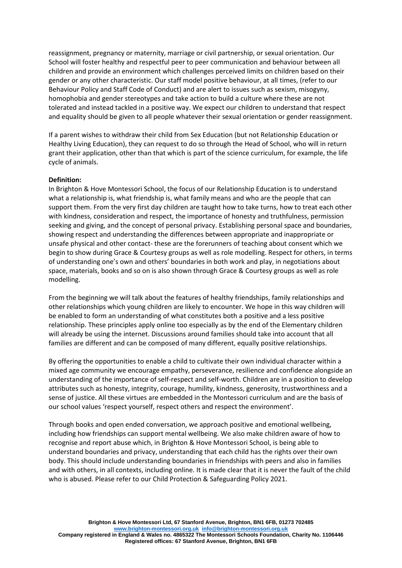reassignment, pregnancy or maternity, marriage or civil partnership, or sexual orientation. Our School will foster healthy and respectful peer to peer communication and behaviour between all children and provide an environment which challenges perceived limits on children based on their gender or any other characteristic. Our staff model positive behaviour, at all times, (refer to our Behaviour Policy and Staff Code of Conduct) and are alert to issues such as sexism, misogyny, homophobia and gender stereotypes and take action to build a culture where these are not tolerated and instead tackled in a positive way. We expect our children to understand that respect and equality should be given to all people whatever their sexual orientation or gender reassignment.

If a parent wishes to withdraw their child from Sex Education (but not Relationship Education or Healthy Living Education), they can request to do so through the Head of School, who will in return grant their application, other than that which is part of the science curriculum, for example, the life cycle of animals.

#### **Definition:**

In Brighton & Hove Montessori School, the focus of our Relationship Education is to understand what a relationship is, what friendship is, what family means and who are the people that can support them. From the very first day children are taught how to take turns, how to treat each other with kindness, consideration and respect, the importance of honesty and truthfulness, permission seeking and giving, and the concept of personal privacy. Establishing personal space and boundaries, showing respect and understanding the differences between appropriate and inappropriate or unsafe physical and other contact- these are the forerunners of teaching about consent which we begin to show during Grace & Courtesy groups as well as role modelling. Respect for others, in terms of understanding one's own and others' boundaries in both work and play, in negotiations about space, materials, books and so on is also shown through Grace & Courtesy groups as well as role modelling.

From the beginning we will talk about the features of healthy friendships, family relationships and other relationships which young children are likely to encounter. We hope in this way children will be enabled to form an understanding of what constitutes both a positive and a less positive relationship. These principles apply online too especially as by the end of the Elementary children will already be using the internet. Discussions around families should take into account that all families are different and can be composed of many different, equally positive relationships.

By offering the opportunities to enable a child to cultivate their own individual character within a mixed age community we encourage empathy, perseverance, resilience and confidence alongside an understanding of the importance of self-respect and self-worth. Children are in a position to develop attributes such as honesty, integrity, courage, humility, kindness, generosity, trustworthiness and a sense of justice. All these virtues are embedded in the Montessori curriculum and are the basis of our school values 'respect yourself, respect others and respect the environment'.

Through books and open ended conversation, we approach positive and emotional wellbeing, including how friendships can support mental wellbeing. We also make children aware of how to recognise and report abuse which, in Brighton & Hove Montessori School, is being able to understand boundaries and privacy, understanding that each child has the rights over their own body. This should include understanding boundaries in friendships with peers and also in families and with others, in all contexts, including online. It is made clear that it is never the fault of the child who is abused. Please refer to our Child Protection & Safeguarding Policy 2021.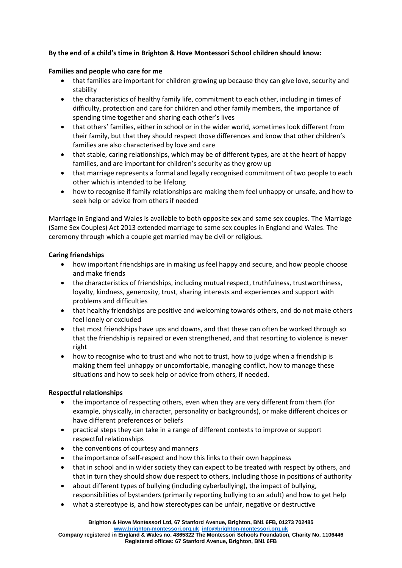# **By the end of a child's time in Brighton & Hove Montessori School children should know:**

## **Families and people who care for me**

- that families are important for children growing up because they can give love, security and stability
- the characteristics of healthy family life, commitment to each other, including in times of difficulty, protection and care for children and other family members, the importance of spending time together and sharing each other's lives
- that others' families, either in school or in the wider world, sometimes look different from their family, but that they should respect those differences and know that other children's families are also characterised by love and care
- that stable, caring relationships, which may be of different types, are at the heart of happy families, and are important for children's security as they grow up
- that marriage represents a formal and legally recognised commitment of two people to each other which is intended to be lifelong
- how to recognise if family relationships are making them feel unhappy or unsafe, and how to seek help or advice from others if needed

Marriage in England and Wales is available to both opposite sex and same sex couples. The Marriage (Same Sex Couples) Act 2013 extended marriage to same sex couples in England and Wales. The ceremony through which a couple get married may be civil or religious.

#### **Caring friendships**

- how important friendships are in making us feel happy and secure, and how people choose and make friends
- the characteristics of friendships, including mutual respect, truthfulness, trustworthiness, loyalty, kindness, generosity, trust, sharing interests and experiences and support with problems and difficulties
- that healthy friendships are positive and welcoming towards others, and do not make others feel lonely or excluded
- that most friendships have ups and downs, and that these can often be worked through so that the friendship is repaired or even strengthened, and that resorting to violence is never right
- how to recognise who to trust and who not to trust, how to judge when a friendship is making them feel unhappy or uncomfortable, managing conflict, how to manage these situations and how to seek help or advice from others, if needed.

#### **Respectful relationships**

- the importance of respecting others, even when they are very different from them (for example, physically, in character, personality or backgrounds), or make different choices or have different preferences or beliefs
- practical steps they can take in a range of different contexts to improve or support respectful relationships
- the conventions of courtesy and manners
- the importance of self-respect and how this links to their own happiness
- that in school and in wider society they can expect to be treated with respect by others, and that in turn they should show due respect to others, including those in positions of authority
- about different types of bullying (including cyberbullying), the impact of bullying, responsibilities of bystanders (primarily reporting bullying to an adult) and how to get help
- what a stereotype is, and how stereotypes can be unfair, negative or destructive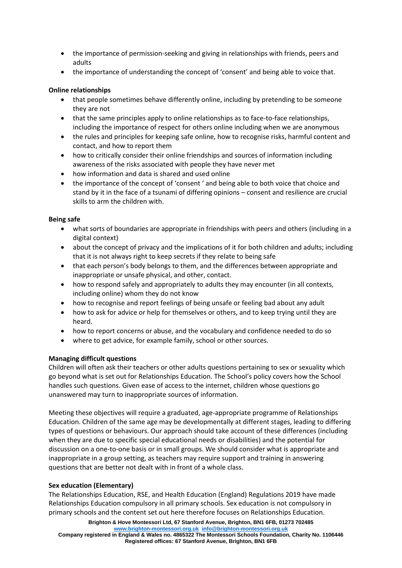- the importance of permission-seeking and giving in relationships with friends, peers and adults
- the importance of understanding the concept of 'consent' and being able to voice that.

# **Online relationships**

- that people sometimes behave differently online, including by pretending to be someone they are not
- that the same principles apply to online relationships as to face-to-face relationships, including the importance of respect for others online including when we are anonymous
- the rules and principles for keeping safe online, how to recognise risks, harmful content and contact, and how to report them
- how to critically consider their online friendships and sources of information including awareness of the risks associated with people they have never met
- how information and data is shared and used online
- the importance of the concept of 'consent ' and being able to both voice that choice and stand by it in the face of a tsunami of differing opinions – consent and resilience are crucial skills to arm the children with.

## **Being safe**

- what sorts of boundaries are appropriate in friendships with peers and others (including in a digital context)
- about the concept of privacy and the implications of it for both children and adults; including that it is not always right to keep secrets if they relate to being safe
- that each person's body belongs to them, and the differences between appropriate and inappropriate or unsafe physical, and other, contact.
- how to respond safely and appropriately to adults they may encounter (in all contexts, including online) whom they do not know
- how to recognise and report feelings of being unsafe or feeling bad about any adult
- how to ask for advice or help for themselves or others, and to keep trying until they are heard.
- how to report concerns or abuse, and the vocabulary and confidence needed to do so
- where to get advice, for example family, school or other sources.

## **Managing difficult questions**

Children will often ask their teachers or other adults questions pertaining to sex or sexuality which go beyond what is set out for Relationships Education. The School's policy covers how the School handles such questions. Given ease of access to the internet, children whose questions go unanswered may turn to inappropriate sources of information.

Meeting these objectives will require a graduated, age-appropriate programme of Relationships Education. Children of the same age may be developmentally at different stages, leading to differing types of questions or behaviours. Our approach should take account of these differences (including when they are due to specific special educational needs or disabilities) and the potential for discussion on a one-to-one basis or in small groups. We should consider what is appropriate and inappropriate in a group setting, as teachers may require support and training in answering questions that are better not dealt with in front of a whole class.

## **Sex education (Elementary)**

The Relationships Education, RSE, and Health Education (England) Regulations 2019 have made Relationships Education compulsory in all primary schools. Sex education is not compulsory in primary schools and the content set out here therefore focuses on Relationships Education.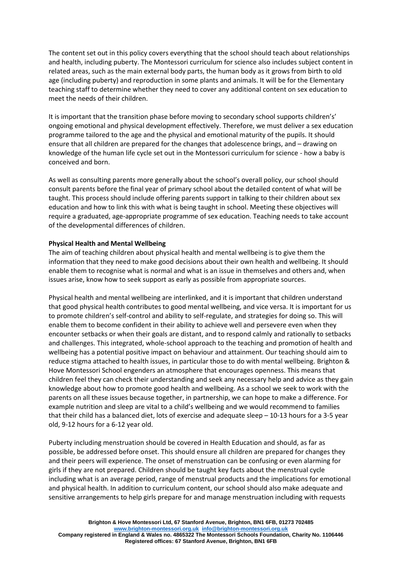The content set out in this policy covers everything that the school should teach about relationships and health, including puberty. The Montessori curriculum for science also includes subject content in related areas, such as the main external body parts, the human body as it grows from birth to old age (including puberty) and reproduction in some plants and animals. It will be for the Elementary teaching staff to determine whether they need to cover any additional content on sex education to meet the needs of their children.

It is important that the transition phase before moving to secondary school supports children's' ongoing emotional and physical development effectively. Therefore, we must deliver a sex education programme tailored to the age and the physical and emotional maturity of the pupils. It should ensure that all children are prepared for the changes that adolescence brings, and – drawing on knowledge of the human life cycle set out in the Montessori curriculum for science - how a baby is conceived and born.

As well as consulting parents more generally about the school's overall policy, our school should consult parents before the final year of primary school about the detailed content of what will be taught. This process should include offering parents support in talking to their children about sex education and how to link this with what is being taught in school. Meeting these objectives will require a graduated, age-appropriate programme of sex education. Teaching needs to take account of the developmental differences of children.

## **Physical Health and Mental Wellbeing**

The aim of teaching children about physical health and mental wellbeing is to give them the information that they need to make good decisions about their own health and wellbeing. It should enable them to recognise what is normal and what is an issue in themselves and others and, when issues arise, know how to seek support as early as possible from appropriate sources.

Physical health and mental wellbeing are interlinked, and it is important that children understand that good physical health contributes to good mental wellbeing, and vice versa. It is important for us to promote children's self-control and ability to self-regulate, and strategies for doing so. This will enable them to become confident in their ability to achieve well and persevere even when they encounter setbacks or when their goals are distant, and to respond calmly and rationally to setbacks and challenges. This integrated, whole-school approach to the teaching and promotion of health and wellbeing has a potential positive impact on behaviour and attainment. Our teaching should aim to reduce stigma attached to health issues, in particular those to do with mental wellbeing. Brighton & Hove Montessori School engenders an atmosphere that encourages openness. This means that children feel they can check their understanding and seek any necessary help and advice as they gain knowledge about how to promote good health and wellbeing. As a school we seek to work with the parents on all these issues because together, in partnership, we can hope to make a difference. For example nutrition and sleep are vital to a child's wellbeing and we would recommend to families that their child has a balanced diet, lots of exercise and adequate sleep – 10-13 hours for a 3-5 year old, 9-12 hours for a 6-12 year old.

Puberty including menstruation should be covered in Health Education and should, as far as possible, be addressed before onset. This should ensure all children are prepared for changes they and their peers will experience. The onset of menstruation can be confusing or even alarming for girls if they are not prepared. Children should be taught key facts about the menstrual cycle including what is an average period, range of menstrual products and the implications for emotional and physical health. In addition to curriculum content, our school should also make adequate and sensitive arrangements to help girls prepare for and manage menstruation including with requests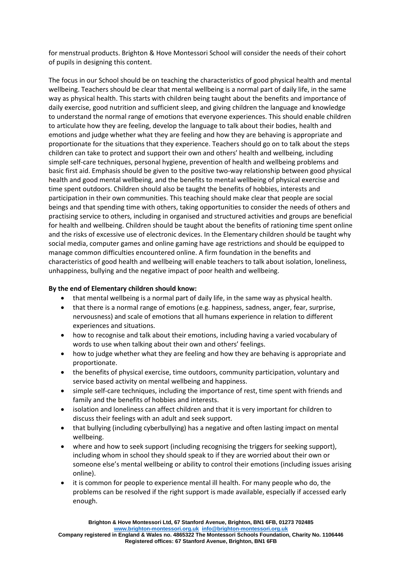for menstrual products. Brighton & Hove Montessori School will consider the needs of their cohort of pupils in designing this content.

The focus in our School should be on teaching the characteristics of good physical health and mental wellbeing. Teachers should be clear that mental wellbeing is a normal part of daily life, in the same way as physical health. This starts with children being taught about the benefits and importance of daily exercise, good nutrition and sufficient sleep, and giving children the language and knowledge to understand the normal range of emotions that everyone experiences. This should enable children to articulate how they are feeling, develop the language to talk about their bodies, health and emotions and judge whether what they are feeling and how they are behaving is appropriate and proportionate for the situations that they experience. Teachers should go on to talk about the steps children can take to protect and support their own and others' health and wellbeing, including simple self-care techniques, personal hygiene, prevention of health and wellbeing problems and basic first aid. Emphasis should be given to the positive two-way relationship between good physical health and good mental wellbeing, and the benefits to mental wellbeing of physical exercise and time spent outdoors. Children should also be taught the benefits of hobbies, interests and participation in their own communities. This teaching should make clear that people are social beings and that spending time with others, taking opportunities to consider the needs of others and practising service to others, including in organised and structured activities and groups are beneficial for health and wellbeing. Children should be taught about the benefits of rationing time spent online and the risks of excessive use of electronic devices. In the Elementary children should be taught why social media, computer games and online gaming have age restrictions and should be equipped to manage common difficulties encountered online. A firm foundation in the benefits and characteristics of good health and wellbeing will enable teachers to talk about isolation, loneliness, unhappiness, bullying and the negative impact of poor health and wellbeing.

## **By the end of Elementary children should know:**

- that mental wellbeing is a normal part of daily life, in the same way as physical health.
- that there is a normal range of emotions (e.g. happiness, sadness, anger, fear, surprise, nervousness) and scale of emotions that all humans experience in relation to different experiences and situations.
- how to recognise and talk about their emotions, including having a varied vocabulary of words to use when talking about their own and others' feelings.
- how to judge whether what they are feeling and how they are behaving is appropriate and proportionate.
- the benefits of physical exercise, time outdoors, community participation, voluntary and service based activity on mental wellbeing and happiness.
- simple self-care techniques, including the importance of rest, time spent with friends and family and the benefits of hobbies and interests.
- isolation and loneliness can affect children and that it is very important for children to discuss their feelings with an adult and seek support.
- that bullying (including cyberbullying) has a negative and often lasting impact on mental wellbeing.
- where and how to seek support (including recognising the triggers for seeking support), including whom in school they should speak to if they are worried about their own or someone else's mental wellbeing or ability to control their emotions (including issues arising online).
- it is common for people to experience mental ill health. For many people who do, the problems can be resolved if the right support is made available, especially if accessed early enough.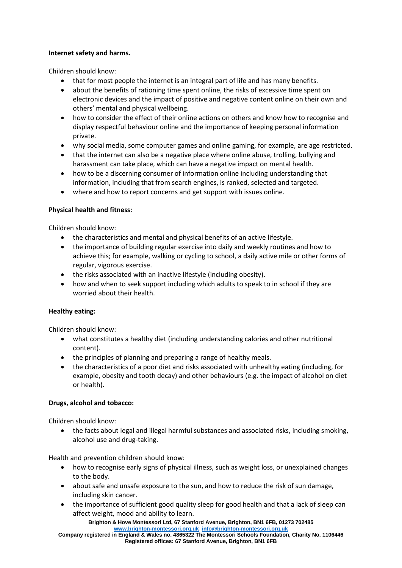#### **Internet safety and harms.**

Children should know:

- that for most people the internet is an integral part of life and has many benefits.
- about the benefits of rationing time spent online, the risks of excessive time spent on electronic devices and the impact of positive and negative content online on their own and others' mental and physical wellbeing.
- how to consider the effect of their online actions on others and know how to recognise and display respectful behaviour online and the importance of keeping personal information private.
- why social media, some computer games and online gaming, for example, are age restricted.
- that the internet can also be a negative place where online abuse, trolling, bullying and harassment can take place, which can have a negative impact on mental health.
- how to be a discerning consumer of information online including understanding that information, including that from search engines, is ranked, selected and targeted.
- where and how to report concerns and get support with issues online.

#### **Physical health and fitness:**

Children should know:

- the characteristics and mental and physical benefits of an active lifestyle.
- the importance of building regular exercise into daily and weekly routines and how to achieve this; for example, walking or cycling to school, a daily active mile or other forms of regular, vigorous exercise.
- the risks associated with an inactive lifestyle (including obesity).
- how and when to seek support including which adults to speak to in school if they are worried about their health.

## **Healthy eating:**

Children should know:

- what constitutes a healthy diet (including understanding calories and other nutritional content).
- the principles of planning and preparing a range of healthy meals.
- the characteristics of a poor diet and risks associated with unhealthy eating (including, for example, obesity and tooth decay) and other behaviours (e.g. the impact of alcohol on diet or health).

## **Drugs, alcohol and tobacco:**

Children should know:

• the facts about legal and illegal harmful substances and associated risks, including smoking, alcohol use and drug-taking.

Health and prevention children should know:

- how to recognise early signs of physical illness, such as weight loss, or unexplained changes to the body.
- about safe and unsafe exposure to the sun, and how to reduce the risk of sun damage, including skin cancer.
- the importance of sufficient good quality sleep for good health and that a lack of sleep can affect weight, mood and ability to learn.

**Brighton & Hove Montessori Ltd, 67 Stanford Avenue, Brighton, BN1 6FB, 01273 702485 [www.brighton-montessori.org.uk](http://www.brighton-montessori.org.uk/) [info@brighton-montessori.org.uk](mailto:info@brighton-montessori.org.uk)**

**Company registered in England & Wales no. 4865322 The Montessori Schools Foundation, Charity No. 1106446 Registered offices: 67 Stanford Avenue, Brighton, BN1 6FB**